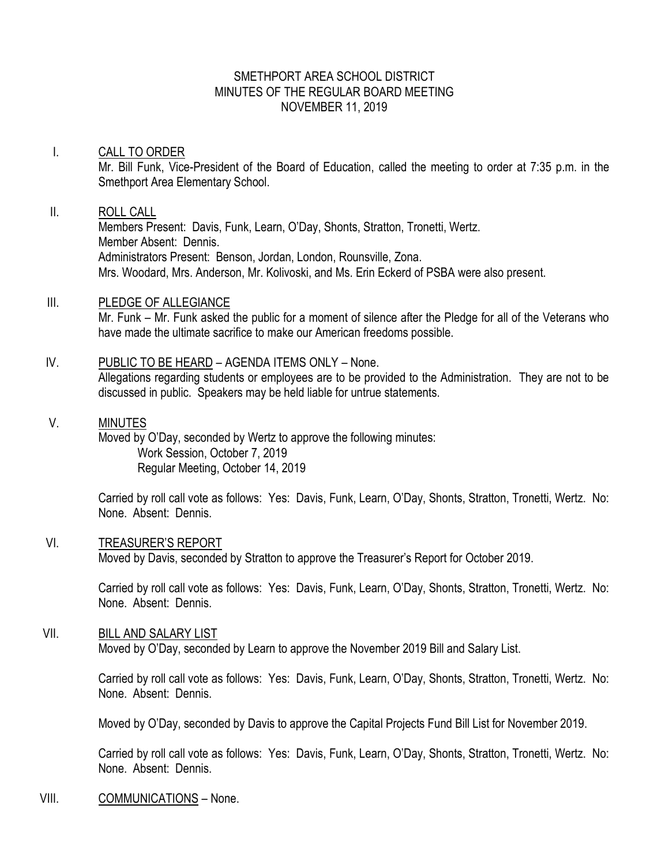## SMETHPORT AREA SCHOOL DISTRICT MINUTES OF THE REGULAR BOARD MEETING NOVEMBER 11, 2019

#### I. CALL TO ORDER

Mr. Bill Funk, Vice-President of the Board of Education, called the meeting to order at 7:35 p.m. in the Smethport Area Elementary School.

## II. ROLL CALL

Members Present: Davis, Funk, Learn, O'Day, Shonts, Stratton, Tronetti, Wertz. Member Absent: Dennis. Administrators Present: Benson, Jordan, London, Rounsville, Zona. Mrs. Woodard, Mrs. Anderson, Mr. Kolivoski, and Ms. Erin Eckerd of PSBA were also present.

### III. PLEDGE OF ALLEGIANCE

Mr. Funk – Mr. Funk asked the public for a moment of silence after the Pledge for all of the Veterans who have made the ultimate sacrifice to make our American freedoms possible.

## IV. PUBLIC TO BE HEARD – AGENDA ITEMS ONLY – None.

Allegations regarding students or employees are to be provided to the Administration. They are not to be discussed in public. Speakers may be held liable for untrue statements.

#### V. MINUTES

Moved by O'Day, seconded by Wertz to approve the following minutes: Work Session, October 7, 2019 Regular Meeting, October 14, 2019

Carried by roll call vote as follows: Yes: Davis, Funk, Learn, O'Day, Shonts, Stratton, Tronetti, Wertz. No: None. Absent: Dennis.

#### VI. TREASURER'S REPORT

Moved by Davis, seconded by Stratton to approve the Treasurer's Report for October 2019.

Carried by roll call vote as follows: Yes: Davis, Funk, Learn, O'Day, Shonts, Stratton, Tronetti, Wertz. No: None. Absent: Dennis.

#### VII. BILL AND SALARY LIST

Moved by O'Day, seconded by Learn to approve the November 2019 Bill and Salary List.

Carried by roll call vote as follows: Yes: Davis, Funk, Learn, O'Day, Shonts, Stratton, Tronetti, Wertz. No: None. Absent: Dennis.

Moved by O'Day, seconded by Davis to approve the Capital Projects Fund Bill List for November 2019.

Carried by roll call vote as follows: Yes: Davis, Funk, Learn, O'Day, Shonts, Stratton, Tronetti, Wertz. No: None. Absent: Dennis.

### VIII. COMMUNICATIONS – None.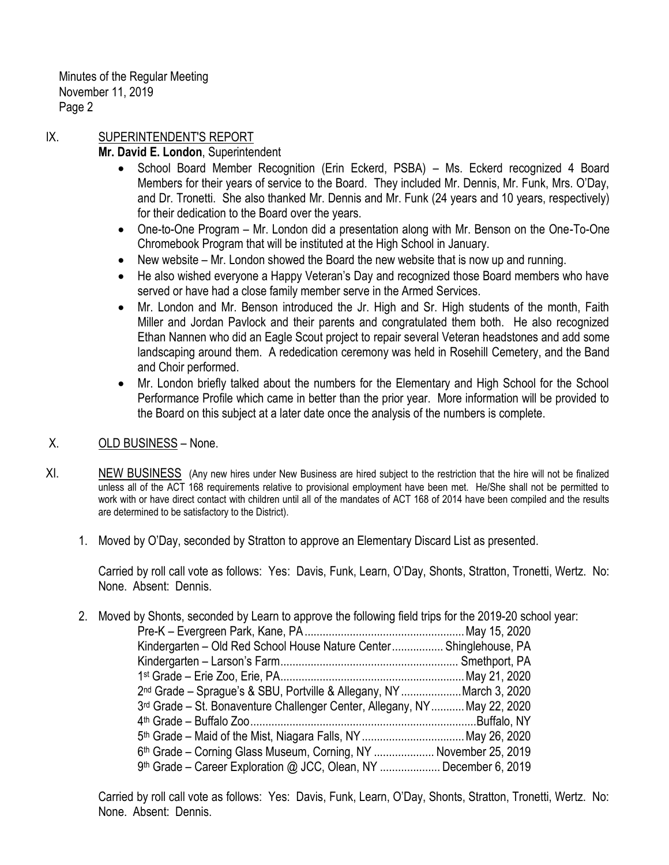# IX. SUPERINTENDENT'S REPORT

# **Mr. David E. London**, Superintendent

- School Board Member Recognition (Erin Eckerd, PSBA) Ms. Eckerd recognized 4 Board Members for their years of service to the Board. They included Mr. Dennis, Mr. Funk, Mrs. O'Day, and Dr. Tronetti. She also thanked Mr. Dennis and Mr. Funk (24 years and 10 years, respectively) for their dedication to the Board over the years.
- One-to-One Program Mr. London did a presentation along with Mr. Benson on the One-To-One Chromebook Program that will be instituted at the High School in January.
- New website Mr. London showed the Board the new website that is now up and running.
- He also wished everyone a Happy Veteran's Day and recognized those Board members who have served or have had a close family member serve in the Armed Services.
- Mr. London and Mr. Benson introduced the Jr. High and Sr. High students of the month, Faith Miller and Jordan Pavlock and their parents and congratulated them both. He also recognized Ethan Nannen who did an Eagle Scout project to repair several Veteran headstones and add some landscaping around them. A rededication ceremony was held in Rosehill Cemetery, and the Band and Choir performed.
- Mr. London briefly talked about the numbers for the Elementary and High School for the School Performance Profile which came in better than the prior year. More information will be provided to the Board on this subject at a later date once the analysis of the numbers is complete.

# X. OLD BUSINESS – None.

- XI. NEW BUSINESS (Any new hires under New Business are hired subject to the restriction that the hire will not be finalized unless all of the ACT 168 requirements relative to provisional employment have been met. He/She shall not be permitted to work with or have direct contact with children until all of the mandates of ACT 168 of 2014 have been compiled and the results are determined to be satisfactory to the District).
	- 1. Moved by O'Day, seconded by Stratton to approve an Elementary Discard List as presented.

Carried by roll call vote as follows: Yes: Davis, Funk, Learn, O'Day, Shonts, Stratton, Tronetti, Wertz. No: None. Absent: Dennis.

2. Moved by Shonts, seconded by Learn to approve the following field trips for the 2019-20 school year: Pre-K – Evergreen Park, Kane, PA.....................................................May 15, 2020 Kindergarten – Old Red School House Nature Center................. Shinglehouse, PA Kindergarten – Larson's Farm........................................................... Smethport, PA 1 st Grade – Erie Zoo, Erie, PA.............................................................May 21, 2020 2 nd Grade – Sprague's & SBU, Portville & Allegany, NY....................March 3, 2020 3 rd Grade – St. Bonaventure Challenger Center, Allegany, NY...........May 22, 2020 4 th Grade – Buffalo Zoo...........................................................................Buffalo, NY 5 th Grade – Maid of the Mist, Niagara Falls, NY..................................May 26, 2020 6<sup>th</sup> Grade – Corning Glass Museum, Corning, NY ..................... November 25, 2019 9<sup>th</sup> Grade – Career Exploration @ JCC, Olean, NY .................... December 6, 2019

Carried by roll call vote as follows: Yes: Davis, Funk, Learn, O'Day, Shonts, Stratton, Tronetti, Wertz. No: None. Absent: Dennis.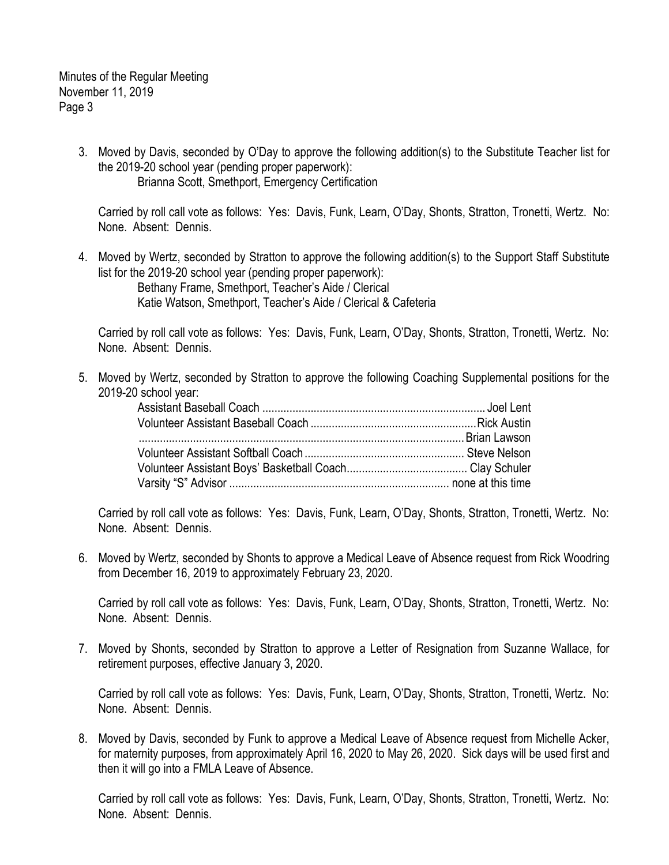> 3. Moved by Davis, seconded by O'Day to approve the following addition(s) to the Substitute Teacher list for the 2019-20 school year (pending proper paperwork): Brianna Scott, Smethport, Emergency Certification

Carried by roll call vote as follows: Yes: Davis, Funk, Learn, O'Day, Shonts, Stratton, Tronetti, Wertz. No: None. Absent: Dennis.

4. Moved by Wertz, seconded by Stratton to approve the following addition(s) to the Support Staff Substitute list for the 2019-20 school year (pending proper paperwork):

Bethany Frame, Smethport, Teacher's Aide / Clerical Katie Watson, Smethport, Teacher's Aide / Clerical & Cafeteria

Carried by roll call vote as follows: Yes: Davis, Funk, Learn, O'Day, Shonts, Stratton, Tronetti, Wertz. No: None. Absent: Dennis.

5. Moved by Wertz, seconded by Stratton to approve the following Coaching Supplemental positions for the 2019-20 school year:

Carried by roll call vote as follows: Yes: Davis, Funk, Learn, O'Day, Shonts, Stratton, Tronetti, Wertz. No: None. Absent: Dennis.

6. Moved by Wertz, seconded by Shonts to approve a Medical Leave of Absence request from Rick Woodring from December 16, 2019 to approximately February 23, 2020.

Carried by roll call vote as follows: Yes: Davis, Funk, Learn, O'Day, Shonts, Stratton, Tronetti, Wertz. No: None. Absent: Dennis.

7. Moved by Shonts, seconded by Stratton to approve a Letter of Resignation from Suzanne Wallace, for retirement purposes, effective January 3, 2020.

Carried by roll call vote as follows: Yes: Davis, Funk, Learn, O'Day, Shonts, Stratton, Tronetti, Wertz. No: None. Absent: Dennis.

8. Moved by Davis, seconded by Funk to approve a Medical Leave of Absence request from Michelle Acker, for maternity purposes, from approximately April 16, 2020 to May 26, 2020. Sick days will be used first and then it will go into a FMLA Leave of Absence.

Carried by roll call vote as follows: Yes: Davis, Funk, Learn, O'Day, Shonts, Stratton, Tronetti, Wertz. No: None. Absent: Dennis.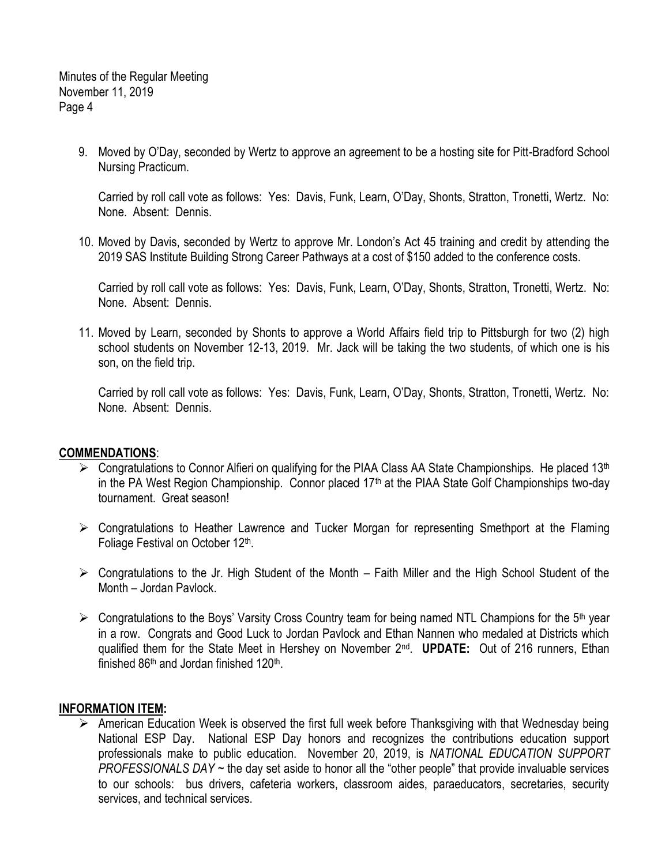> 9. Moved by O'Day, seconded by Wertz to approve an agreement to be a hosting site for Pitt-Bradford School Nursing Practicum.

Carried by roll call vote as follows: Yes: Davis, Funk, Learn, O'Day, Shonts, Stratton, Tronetti, Wertz. No: None. Absent: Dennis.

10. Moved by Davis, seconded by Wertz to approve Mr. London's Act 45 training and credit by attending the 2019 SAS Institute Building Strong Career Pathways at a cost of \$150 added to the conference costs.

Carried by roll call vote as follows: Yes: Davis, Funk, Learn, O'Day, Shonts, Stratton, Tronetti, Wertz. No: None. Absent: Dennis.

11. Moved by Learn, seconded by Shonts to approve a World Affairs field trip to Pittsburgh for two (2) high school students on November 12-13, 2019. Mr. Jack will be taking the two students, of which one is his son, on the field trip.

Carried by roll call vote as follows: Yes: Davis, Funk, Learn, O'Day, Shonts, Stratton, Tronetti, Wertz. No: None. Absent: Dennis.

### **COMMENDATIONS**:

- $\triangleright$  Congratulations to Connor Alfieri on qualifying for the PIAA Class AA State Championships. He placed 13<sup>th</sup> in the PA West Region Championship. Connor placed  $17<sup>th</sup>$  at the PIAA State Golf Championships two-day tournament. Great season!
- $\triangleright$  Congratulations to Heather Lawrence and Tucker Morgan for representing Smethport at the Flaming Foliage Festival on October 12<sup>th</sup>.
- $\triangleright$  Congratulations to the Jr. High Student of the Month Faith Miller and the High School Student of the Month – Jordan Pavlock.
- $\triangleright$  Congratulations to the Boys' Varsity Cross Country team for being named NTL Champions for the 5<sup>th</sup> year in a row. Congrats and Good Luck to Jordan Pavlock and Ethan Nannen who medaled at Districts which qualified them for the State Meet in Hershey on November 2nd . **UPDATE:** Out of 216 runners, Ethan finished 86<sup>th</sup> and Jordan finished 120<sup>th</sup>.

### **INFORMATION ITEM:**

 $\triangleright$  American Education Week is observed the first full week before Thanksgiving with that Wednesday being National ESP Day. National ESP Day honors and recognizes the contributions education support professionals make to public education. November 20, 2019, is *NATIONAL EDUCATION SUPPORT PROFESSIONALS DAY* ~ the day set aside to honor all the "other people" that provide invaluable services to our schools: bus drivers, cafeteria workers, classroom aides, paraeducators, secretaries, security services, and technical services.